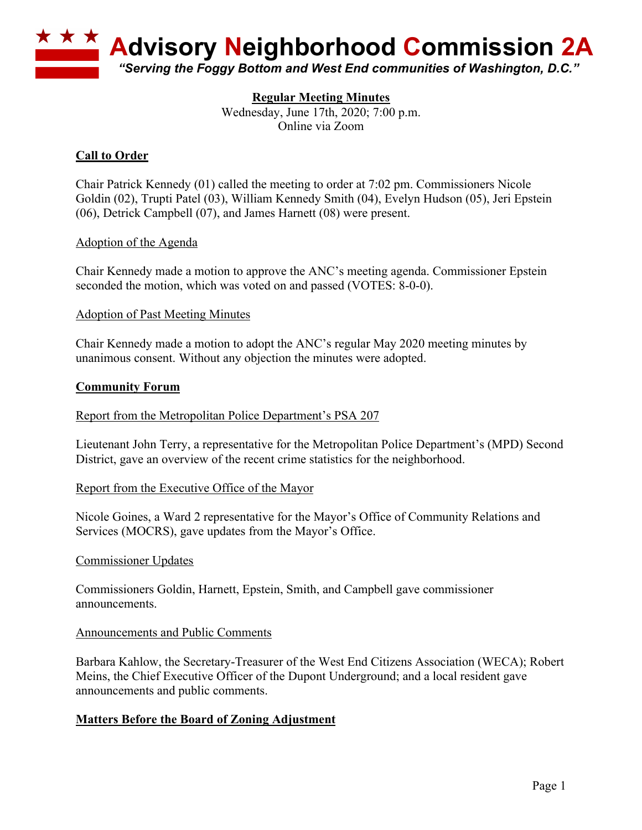

## **Regular Meeting Minutes**

Wednesday, June 17th, 2020; 7:00 p.m. Online via Zoom

## **Call to Order**

Chair Patrick Kennedy (01) called the meeting to order at 7:02 pm. Commissioners Nicole Goldin (02), Trupti Patel (03), William Kennedy Smith (04), Evelyn Hudson (05), Jeri Epstein (06), Detrick Campbell (07), and James Harnett (08) were present.

#### Adoption of the Agenda

Chair Kennedy made a motion to approve the ANC's meeting agenda. Commissioner Epstein seconded the motion, which was voted on and passed (VOTES: 8-0-0).

#### Adoption of Past Meeting Minutes

Chair Kennedy made a motion to adopt the ANC's regular May 2020 meeting minutes by unanimous consent. Without any objection the minutes were adopted.

#### **Community Forum**

#### Report from the Metropolitan Police Department's PSA 207

Lieutenant John Terry, a representative for the Metropolitan Police Department's (MPD) Second District, gave an overview of the recent crime statistics for the neighborhood.

#### Report from the Executive Office of the Mayor

Nicole Goines, a Ward 2 representative for the Mayor's Office of Community Relations and Services (MOCRS), gave updates from the Mayor's Office.

#### Commissioner Updates

Commissioners Goldin, Harnett, Epstein, Smith, and Campbell gave commissioner announcements.

#### Announcements and Public Comments

Barbara Kahlow, the Secretary-Treasurer of the West End Citizens Association (WECA); Robert Meins, the Chief Executive Officer of the Dupont Underground; and a local resident gave announcements and public comments.

### **Matters Before the Board of Zoning Adjustment**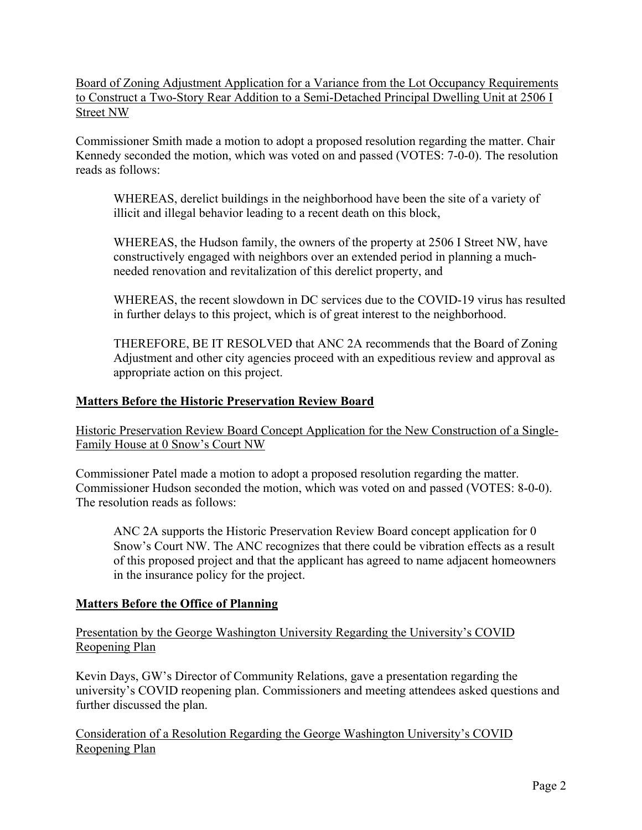Board of Zoning Adjustment Application for a Variance from the Lot Occupancy Requirements to Construct a Two-Story Rear Addition to a Semi-Detached Principal Dwelling Unit at 2506 I Street NW

Commissioner Smith made a motion to adopt a proposed resolution regarding the matter. Chair Kennedy seconded the motion, which was voted on and passed (VOTES: 7-0-0). The resolution reads as follows:

WHEREAS, derelict buildings in the neighborhood have been the site of a variety of illicit and illegal behavior leading to a recent death on this block,

WHEREAS, the Hudson family, the owners of the property at 2506 I Street NW, have constructively engaged with neighbors over an extended period in planning a muchneeded renovation and revitalization of this derelict property, and

WHEREAS, the recent slowdown in DC services due to the COVID-19 virus has resulted in further delays to this project, which is of great interest to the neighborhood.

THEREFORE, BE IT RESOLVED that ANC 2A recommends that the Board of Zoning Adjustment and other city agencies proceed with an expeditious review and approval as appropriate action on this project.

# **Matters Before the Historic Preservation Review Board**

Historic Preservation Review Board Concept Application for the New Construction of a Single-Family House at 0 Snow's Court NW

Commissioner Patel made a motion to adopt a proposed resolution regarding the matter. Commissioner Hudson seconded the motion, which was voted on and passed (VOTES: 8-0-0). The resolution reads as follows:

ANC 2A supports the Historic Preservation Review Board concept application for 0 Snow's Court NW. The ANC recognizes that there could be vibration effects as a result of this proposed project and that the applicant has agreed to name adjacent homeowners in the insurance policy for the project.

### **Matters Before the Office of Planning**

## Presentation by the George Washington University Regarding the University's COVID Reopening Plan

Kevin Days, GW's Director of Community Relations, gave a presentation regarding the university's COVID reopening plan. Commissioners and meeting attendees asked questions and further discussed the plan.

Consideration of a Resolution Regarding the George Washington University's COVID Reopening Plan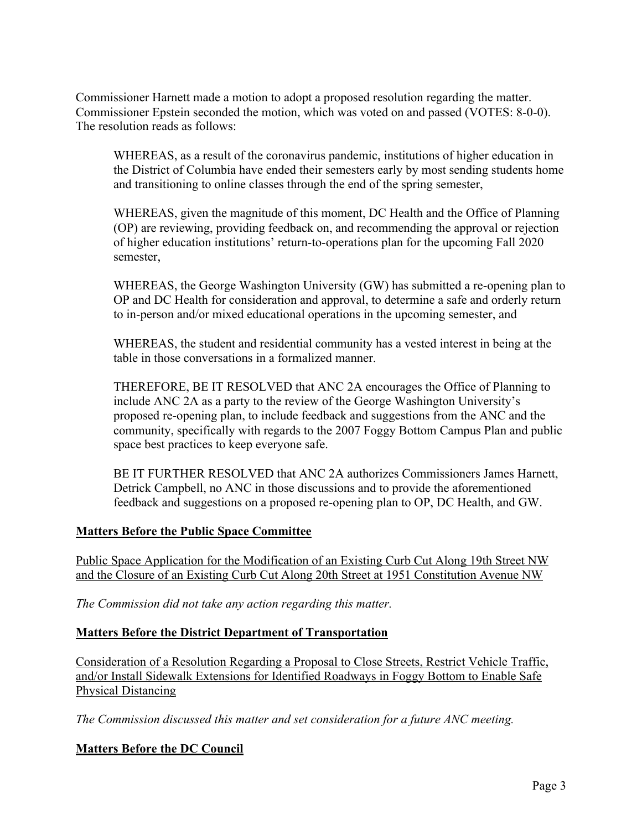Commissioner Harnett made a motion to adopt a proposed resolution regarding the matter. Commissioner Epstein seconded the motion, which was voted on and passed (VOTES: 8-0-0). The resolution reads as follows:

WHEREAS, as a result of the coronavirus pandemic, institutions of higher education in the District of Columbia have ended their semesters early by most sending students home and transitioning to online classes through the end of the spring semester,

WHEREAS, given the magnitude of this moment, DC Health and the Office of Planning (OP) are reviewing, providing feedback on, and recommending the approval or rejection of higher education institutions' return-to-operations plan for the upcoming Fall 2020 semester,

WHEREAS, the George Washington University (GW) has submitted a re-opening plan to OP and DC Health for consideration and approval, to determine a safe and orderly return to in-person and/or mixed educational operations in the upcoming semester, and

WHEREAS, the student and residential community has a vested interest in being at the table in those conversations in a formalized manner.

THEREFORE, BE IT RESOLVED that ANC 2A encourages the Office of Planning to include ANC 2A as a party to the review of the George Washington University's proposed re-opening plan, to include feedback and suggestions from the ANC and the community, specifically with regards to the 2007 Foggy Bottom Campus Plan and public space best practices to keep everyone safe.

BE IT FURTHER RESOLVED that ANC 2A authorizes Commissioners James Harnett, Detrick Campbell, no ANC in those discussions and to provide the aforementioned feedback and suggestions on a proposed re-opening plan to OP, DC Health, and GW.

# **Matters Before the Public Space Committee**

Public Space Application for the Modification of an Existing Curb Cut Along 19th Street NW and the Closure of an Existing Curb Cut Along 20th Street at 1951 Constitution Avenue NW

*The Commission did not take any action regarding this matter.*

### **Matters Before the District Department of Transportation**

Consideration of a Resolution Regarding a Proposal to Close Streets, Restrict Vehicle Traffic, and/or Install Sidewalk Extensions for Identified Roadways in Foggy Bottom to Enable Safe Physical Distancing

*The Commission discussed this matter and set consideration for a future ANC meeting.*

# **Matters Before the DC Council**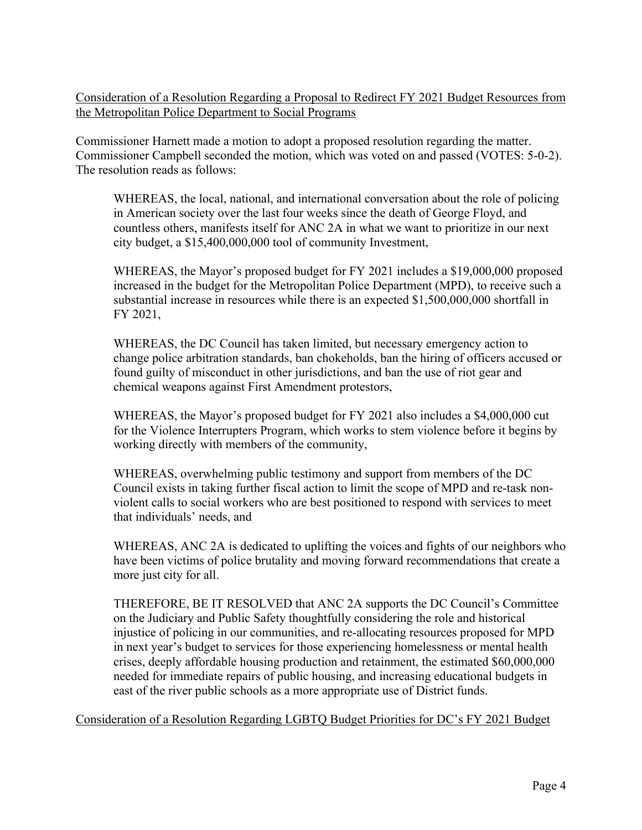Consideration of a Resolution Regarding a Proposal to Redirect FY 2021 Budget Resources from the Metropolitan Police Department to Social Programs

Commissioner Harnett made a motion to adopt a proposed resolution regarding the matter. Commissioner Campbell seconded the motion, which was voted on and passed (VOTES: 5-0-2). The resolution reads as follows:

WHEREAS, the local, national, and international conversation about the role of policing in American society over the last four weeks since the death of George Floyd, and countless others, manifests itself for ANC 2A in what we want to prioritize in our next city budget, a \$15,400,000,000 tool of community Investment,

WHEREAS, the Mayor's proposed budget for FY 2021 includes a \$19,000,000 proposed increased in the budget for the Metropolitan Police Department (MPD), to receive such a substantial increase in resources while there is an expected \$1,500,000,000 shortfall in FY 2021,

WHEREAS, the DC Council has taken limited, but necessary emergency action to change police arbitration standards, ban chokeholds, ban the hiring of officers accused or found guilty of misconduct in other jurisdictions, and ban the use of riot gear and chemical weapons against First Amendment protestors,

WHEREAS, the Mayor's proposed budget for FY 2021 also includes a \$4,000,000 cut for the Violence Interrupters Program, which works to stem violence before it begins by working directly with members of the community,

WHEREAS, overwhelming public testimony and support from members of the DC Council exists in taking further fiscal action to limit the scope of MPD and re-task nonviolent calls to social workers who are best positioned to respond with services to meet that individuals' needs, and

WHEREAS, ANC 2A is dedicated to uplifting the voices and fights of our neighbors who have been victims of police brutality and moving forward recommendations that create a more just city for all.

THEREFORE, BE IT RESOLVED that ANC 2A supports the DC Council's Committee on the Judiciary and Public Safety thoughtfully considering the role and historical injustice of policing in our communities, and re-allocating resources proposed for MPD in next year's budget to services for those experiencing homelessness or mental health crises, deeply affordable housing production and retainment, the estimated \$60,000,000 needed for immediate repairs of public housing, and increasing educational budgets in east of the river public schools as a more appropriate use of District funds.

Consideration of a Resolution Regarding LGBTQ Budget Priorities for DC's FY 2021 Budget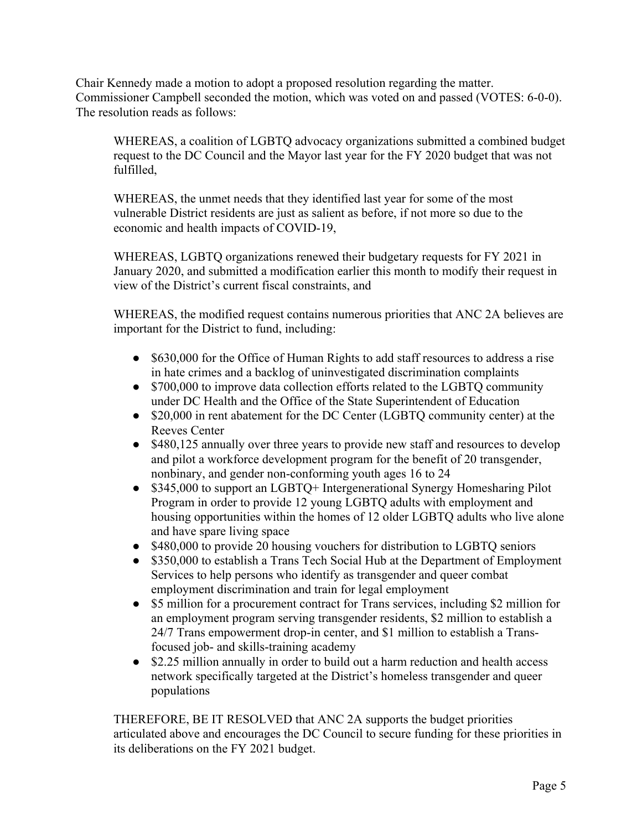Chair Kennedy made a motion to adopt a proposed resolution regarding the matter. Commissioner Campbell seconded the motion, which was voted on and passed (VOTES: 6-0-0). The resolution reads as follows:

WHEREAS, a coalition of LGBTQ advocacy organizations submitted a combined budget request to the DC Council and the Mayor last year for the FY 2020 budget that was not fulfilled,

WHEREAS, the unmet needs that they identified last year for some of the most vulnerable District residents are just as salient as before, if not more so due to the economic and health impacts of COVID-19,

WHEREAS, LGBTQ organizations renewed their budgetary requests for FY 2021 in January 2020, and submitted a modification earlier this month to modify their request in view of the District's current fiscal constraints, and

WHEREAS, the modified request contains numerous priorities that ANC 2A believes are important for the District to fund, including:

- \$630,000 for the Office of Human Rights to add staff resources to address a rise in hate crimes and a backlog of uninvestigated discrimination complaints
- \$700,000 to improve data collection efforts related to the LGBTO community under DC Health and the Office of the State Superintendent of Education
- \$20,000 in rent abatement for the DC Center (LGBTQ community center) at the Reeves Center
- \$480,125 annually over three years to provide new staff and resources to develop and pilot a workforce development program for the benefit of 20 transgender, nonbinary, and gender non-conforming youth ages 16 to 24
- \$345,000 to support an LGBTQ+ Intergenerational Synergy Homesharing Pilot Program in order to provide 12 young LGBTQ adults with employment and housing opportunities within the homes of 12 older LGBTQ adults who live alone and have spare living space
- \$480,000 to provide 20 housing vouchers for distribution to LGBTQ seniors
- \$350,000 to establish a Trans Tech Social Hub at the Department of Employment Services to help persons who identify as transgender and queer combat employment discrimination and train for legal employment
- \$5 million for a procurement contract for Trans services, including \$2 million for an employment program serving transgender residents, \$2 million to establish a 24/7 Trans empowerment drop-in center, and \$1 million to establish a Transfocused job- and skills-training academy
- \$2.25 million annually in order to build out a harm reduction and health access network specifically targeted at the District's homeless transgender and queer populations

THEREFORE, BE IT RESOLVED that ANC 2A supports the budget priorities articulated above and encourages the DC Council to secure funding for these priorities in its deliberations on the FY 2021 budget.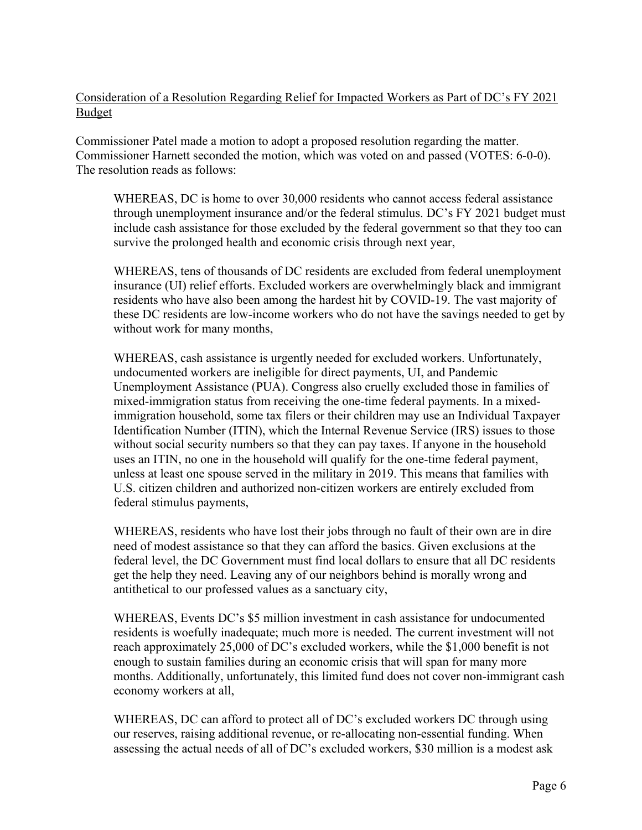Consideration of a Resolution Regarding Relief for Impacted Workers as Part of DC's FY 2021 Budget

Commissioner Patel made a motion to adopt a proposed resolution regarding the matter. Commissioner Harnett seconded the motion, which was voted on and passed (VOTES: 6-0-0). The resolution reads as follows:

WHEREAS, DC is home to over 30,000 residents who cannot access federal assistance through unemployment insurance and/or the federal stimulus. DC's FY 2021 budget must include cash assistance for those excluded by the federal government so that they too can survive the prolonged health and economic crisis through next year,

WHEREAS, tens of thousands of DC residents are excluded from federal unemployment insurance (UI) relief efforts. Excluded workers are overwhelmingly black and immigrant residents who have also been among the hardest hit by COVID-19. The vast majority of these DC residents are low-income workers who do not have the savings needed to get by without work for many months,

WHEREAS, cash assistance is urgently needed for excluded workers. Unfortunately, undocumented workers are ineligible for direct payments, UI, and Pandemic Unemployment Assistance (PUA). Congress also cruelly excluded those in families of mixed-immigration status from receiving the one-time federal payments. In a mixedimmigration household, some tax filers or their children may use an Individual Taxpayer Identification Number (ITIN), which the Internal Revenue Service (IRS) issues to those without social security numbers so that they can pay taxes. If anyone in the household uses an ITIN, no one in the household will qualify for the one-time federal payment, unless at least one spouse served in the military in 2019. This means that families with U.S. citizen children and authorized non-citizen workers are entirely excluded from federal stimulus payments,

WHEREAS, residents who have lost their jobs through no fault of their own are in dire need of modest assistance so that they can afford the basics. Given exclusions at the federal level, the DC Government must find local dollars to ensure that all DC residents get the help they need. Leaving any of our neighbors behind is morally wrong and antithetical to our professed values as a sanctuary city,

WHEREAS, Events DC's \$5 million investment in cash assistance for undocumented residents is woefully inadequate; much more is needed. The current investment will not reach approximately 25,000 of DC's excluded workers, while the \$1,000 benefit is not enough to sustain families during an economic crisis that will span for many more months. Additionally, unfortunately, this limited fund does not cover non-immigrant cash economy workers at all,

WHEREAS, DC can afford to protect all of DC's excluded workers DC through using our reserves, raising additional revenue, or re-allocating non-essential funding. When assessing the actual needs of all of DC's excluded workers, \$30 million is a modest ask